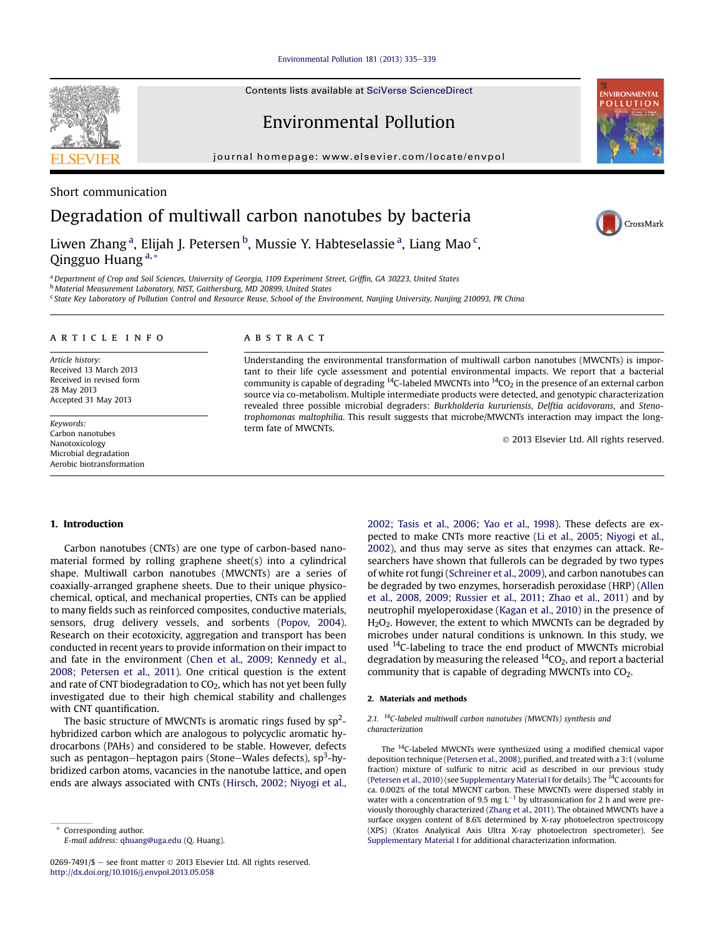[Environmental Pollution 181 \(2013\) 335](http://dx.doi.org/10.1016/j.envpol.2013.05.058)-[339](http://dx.doi.org/10.1016/j.envpol.2013.05.058)

Contents lists available at SciVerse ScienceDirect

# Environmental Pollution

journal homepage: [www.elsevier.com/locate/envpol](http://www.elsevier.com/locate/envpol)



## Short communication

# Degradation of multiwall carbon nanotubes by bacteria

Liwen Zhang <sup>a</sup>, Elijah J. Petersen <sup>b</sup>, Mussie Y. Habteselassie <sup>a</sup>, Liang Mao <sup>c</sup>, Qingguo Huang<sup>a,\*</sup>

a Department of Crop and Soil Sciences, University of Georgia, 1109 Experiment Street, Griffin, GA 30223, United States

<sup>b</sup> Material Measurement Laboratory, NIST, Gaithersburg, MD 20899, United States

<sup>c</sup> State Key Laboratory of Pollution Control and Resource Reuse, School of the Environment, Nanjing University, Nanjing 210093, PR China

#### article info

Article history: Received 13 March 2013 Received in revised form 28 May 2013 Accepted 31 May 2013

Keywords: Carbon nanotubes Nanotoxicology Microbial degradation Aerobic biotransformation

#### **ABSTRACT**

Understanding the environmental transformation of multiwall carbon nanotubes (MWCNTs) is important to their life cycle assessment and potential environmental impacts. We report that a bacterial community is capable of degrading <sup>14</sup>C-labeled MWCNTs into  $14CO<sub>2</sub>$  in the presence of an external carbon source via co-metabolism. Multiple intermediate products were detected, and genotypic characterization revealed three possible microbial degraders: Burkholderia kururiensis, Delftia acidovorans, and Stenotrophomonas maltophilia. This result suggests that microbe/MWCNTs interaction may impact the longterm fate of MWCNTs.

2013 Elsevier Ltd. All rights reserved.

### 1. Introduction

Carbon nanotubes (CNTs) are one type of carbon-based nanomaterial formed by rolling graphene sheet(s) into a cylindrical shape. Multiwall carbon nanotubes (MWCNTs) are a series of coaxially-arranged graphene sheets. Due to their unique physicochemical, optical, and mechanical properties, CNTs can be applied to many fields such as reinforced composites, conductive materials, sensors, drug delivery vessels, and sorbents ([Popov, 2004\)](#page-3-0). Research on their ecotoxicity, aggregation and transport has been conducted in recent years to provide information on their impact to and fate in the environment [\(Chen et al., 2009; Kennedy et al.,](#page-3-0) [2008; Petersen et al., 2011\)](#page-3-0). One critical question is the extent and rate of CNT biodegradation to CO<sub>2</sub>, which has not yet been fully investigated due to their high chemical stability and challenges with CNT quantification.

The basic structure of MWCNTs is aromatic rings fused by  $sp^2$ hybridized carbon which are analogous to polycyclic aromatic hydrocarbons (PAHs) and considered to be stable. However, defects such as pentagon–heptagon pairs (Stone–Wales defects), sp<sup>3</sup>-hybridized carbon atoms, vacancies in the nanotube lattice, and open ends are always associated with CNTs [\(Hirsch, 2002; Niyogi et al.,](#page-3-0)

0269-7491/\$ - see front matter  $\odot$  2013 Elsevier Ltd. All rights reserved. <http://dx.doi.org/10.1016/j.envpol.2013.05.058>

[2002; Tasis et al., 2006; Yao et al., 1998](#page-3-0)). These defects are expected to make CNTs more reactive [\(Li et al., 2005; Niyogi et al.,](#page-3-0) [2002\)](#page-3-0), and thus may serve as sites that enzymes can attack. Researchers have shown that fullerols can be degraded by two types of white rot fungi ([Schreiner et al., 2009](#page-3-0)), and carbon nanotubes can be degraded by two enzymes, horseradish peroxidase (HRP) [\(Allen](#page-3-0) [et al., 2008, 2009; Russier et al., 2011; Zhao et al., 2011\)](#page-3-0) and by neutrophil myeloperoxidase [\(Kagan et al., 2010](#page-3-0)) in the presence of H<sub>2</sub>O<sub>2</sub>. However, the extent to which MWCNTs can be degraded by microbes under natural conditions is unknown. In this study, we used <sup>14</sup>C-labeling to trace the end product of MWCNTs microbial degradation by measuring the released  $^{14}CO<sub>2</sub>$ , and report a bacterial community that is capable of degrading MWCNTs into CO2.

#### 2. Materials and methods

#### 2.1.  $^{14}$ C-labeled multiwall carbon nanotubes (MWCNTs) synthesis and characterization

The 14C-labeled MWCNTs were synthesized using a modified chemical vapor deposition technique ([Petersen et al., 2008](#page-3-0)), purified, and treated with a 3:1 (volume fraction) mixture of sulfuric to nitric acid as described in our previous study ([Petersen et al., 2010\)](#page-3-0) (see Supplementary Material I for details). The  $^{14}C$  accounts for ca. 0.002% of the total MWCNT carbon. These MWCNTs were dispersed stably in water with a concentration of 9.5 mg  $L^{-1}$  by ultrasonication for 2 h and were previously thoroughly characterized ([Zhang et al., 2011\)](#page-4-0). The obtained MWCNTs have a surface oxygen content of 8.6% determined by X-ray photoelectron spectroscopy (XPS) (Kratos Analytical Axis Ultra X-ray photoelectron spectrometer). See Supplementary Material I for additional characterization information.



**NVIRONMENTAL OLLUTION** 

Corresponding author. E-mail address: [qhuang@uga.edu](mailto:qhuang@uga.edu) (Q. Huang).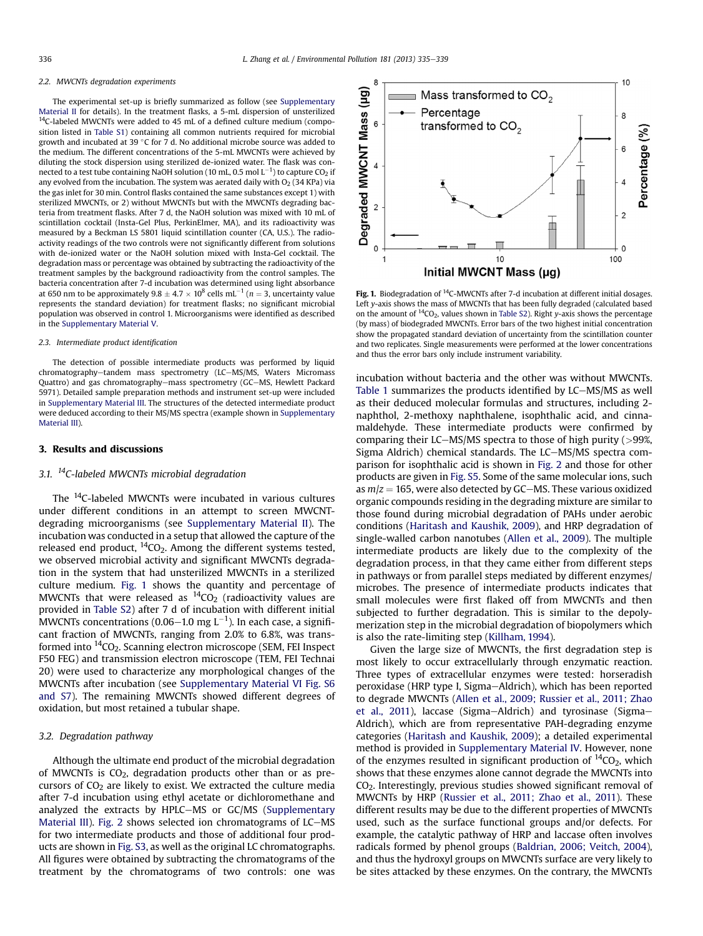#### 2.2. MWCNTs degradation experiments

The experimental set-up is briefly summarized as follow (see Supplementary Material II for details). In the treatment flasks, a 5-mL dispersion of unsterilized  $14$ C-labeled MWCNTs were added to 45 mL of a defined culture medium (composition listed in Table S1) containing all common nutrients required for microbial growth and incubated at 39 $\degree$ C for 7 d. No additional microbe source was added to the medium. The different concentrations of the 5-mL MWCNTs were achieved by diluting the stock dispersion using sterilized de-ionized water. The flask was connected to a test tube containing NaOH solution (10 mL, 0.5 mol  $\mathsf{L}^{-1}$ ) to capture CO $_2$  if any evolved from the incubation. The system was aerated daily with  $O<sub>2</sub>$  (34 KPa) via the gas inlet for 30 min. Control flasks contained the same substances except 1) with sterilized MWCNTs, or 2) without MWCNTs but with the MWCNTs degrading bacteria from treatment flasks. After 7 d, the NaOH solution was mixed with 10 mL of scintillation cocktail (Insta-Gel Plus, PerkinElmer, MA), and its radioactivity was measured by a Beckman LS 5801 liquid scintillation counter (CA, U.S.). The radioactivity readings of the two controls were not significantly different from solutions with de-ionized water or the NaOH solution mixed with Insta-Gel cocktail. The degradation mass or percentage was obtained by subtracting the radioactivity of the treatment samples by the background radioactivity from the control samples. The bacteria concentration after 7-d incubation was determined using light absorbance at 650 nm to be approximately  $9.8 \pm 4.7 \times 10^8$  cells mL<sup>-1</sup> (n = 3, uncertainty value represents the standard deviation) for treatment flasks; no significant microbial population was observed in control 1. Microorganisms were identified as described in the Supplementary Material V.

#### 2.3. Intermediate product identification

The detection of possible intermediate products was performed by liquid chromatography-tandem mass spectrometry (LC-MS/MS, Waters Micromass Quattro) and gas chromatography-mass spectrometry (GC-MS, Hewlett Packard 5971). Detailed sample preparation methods and instrument set-up were included in Supplementary Material III. The structures of the detected intermediate product were deduced according to their MS/MS spectra (example shown in Supplementary Material III).

#### 3. Results and discussions

#### 3.1.  $^{14}$ C-labeled MWCNTs microbial degradation

The <sup>14</sup>C-labeled MWCNTs were incubated in various cultures under different conditions in an attempt to screen MWCNTdegrading microorganisms (see Supplementary Material II). The incubation was conducted in a setup that allowed the capture of the released end product,  ${}^{14}CO_2$ . Among the different systems tested, we observed microbial activity and significant MWCNTs degradation in the system that had unsterilized MWCNTs in a sterilized culture medium. Fig. 1 shows the quantity and percentage of MWCNTs that were released as  ${}^{14}CO_2$  (radioactivity values are provided in Table S2) after 7 d of incubation with different initial MWCNTs concentrations (0.06–1.0 mg L $^{-1}$ ). In each case, a significant fraction of MWCNTs, ranging from 2.0% to 6.8%, was transformed into <sup>14</sup>CO<sub>2</sub>. Scanning electron microscope (SEM, FEI Inspect F50 FEG) and transmission electron microscope (TEM, FEI Technai 20) were used to characterize any morphological changes of the MWCNTs after incubation (see Supplementary Material VI Fig. S6 and S7). The remaining MWCNTs showed different degrees of oxidation, but most retained a tubular shape.

#### 3.2. Degradation pathway

Although the ultimate end product of the microbial degradation of MWCNTs is  $CO<sub>2</sub>$ , degradation products other than or as precursors of  $CO<sub>2</sub>$  are likely to exist. We extracted the culture media after 7-d incubation using ethyl acetate or dichloromethane and analyzed the extracts by HPLC-MS or GC/MS (Supplementary Material III). [Fig. 2](#page-2-0) shows selected ion chromatograms of LC-MS for two intermediate products and those of additional four products are shown in Fig. S3, as well as the original LC chromatographs. All figures were obtained by subtracting the chromatograms of the treatment by the chromatograms of two controls: one was



**Fig. 1.** Biodegradation of <sup>14</sup>C-MWCNTs after 7-d incubation at different initial dosages. Left y-axis shows the mass of MWCNTs that has been fully degraded (calculated based on the amount of  ${}^{14}CO_2$ , values shown in Table S2). Right y-axis shows the percentage (by mass) of biodegraded MWCNTs. Error bars of the two highest initial concentration show the propagated standard deviation of uncertainty from the scintillation counter and two replicates. Single measurements were performed at the lower concentrations and thus the error bars only include instrument variability.

incubation without bacteria and the other was without MWCNTs. [Table 1](#page-2-0) summarizes the products identified by LC-MS/MS as well as their deduced molecular formulas and structures, including 2 naphthol, 2-methoxy naphthalene, isophthalic acid, and cinnamaldehyde. These intermediate products were confirmed by comparing their LC-MS/MS spectra to those of high purity ( $>99\%$ , Sigma Aldrich) chemical standards. The LC-MS/MS spectra comparison for isophthalic acid is shown in [Fig. 2](#page-2-0) and those for other products are given in Fig. S5. Some of the same molecular ions, such as  $m/z = 165$ , were also detected by GC-MS. These various oxidized organic compounds residing in the degrading mixture are similar to those found during microbial degradation of PAHs under aerobic conditions [\(Haritash and Kaushik, 2009](#page-3-0)), and HRP degradation of single-walled carbon nanotubes [\(Allen et al., 2009\)](#page-3-0). The multiple intermediate products are likely due to the complexity of the degradation process, in that they came either from different steps in pathways or from parallel steps mediated by different enzymes/ microbes. The presence of intermediate products indicates that small molecules were first flaked off from MWCNTs and then subjected to further degradation. This is similar to the depolymerization step in the microbial degradation of biopolymers which is also the rate-limiting step [\(Killham, 1994\)](#page-3-0).

Given the large size of MWCNTs, the first degradation step is most likely to occur extracellularly through enzymatic reaction. Three types of extracellular enzymes were tested: horseradish peroxidase (HRP type I, Sigma-Aldrich), which has been reported to degrade MWCNTs [\(Allen et al., 2009; Russier et al., 2011; Zhao](#page-3-0) [et al., 2011\)](#page-3-0), laccase (Sigma-Aldrich) and tyrosinase (Sigma-Aldrich), which are from representative PAH-degrading enzyme categories [\(Haritash and Kaushik, 2009\)](#page-3-0); a detailed experimental method is provided in Supplementary Material IV. However, none of the enzymes resulted in significant production of  ${}^{14}CO_2$ , which shows that these enzymes alone cannot degrade the MWCNTs into CO2. Interestingly, previous studies showed significant removal of MWCNTs by HRP [\(Russier et al., 2011; Zhao et al., 2011](#page-3-0)). These different results may be due to the different properties of MWCNTs used, such as the surface functional groups and/or defects. For example, the catalytic pathway of HRP and laccase often involves radicals formed by phenol groups ([Baldrian, 2006; Veitch, 2004\)](#page-3-0), and thus the hydroxyl groups on MWCNTs surface are very likely to be sites attacked by these enzymes. On the contrary, the MWCNTs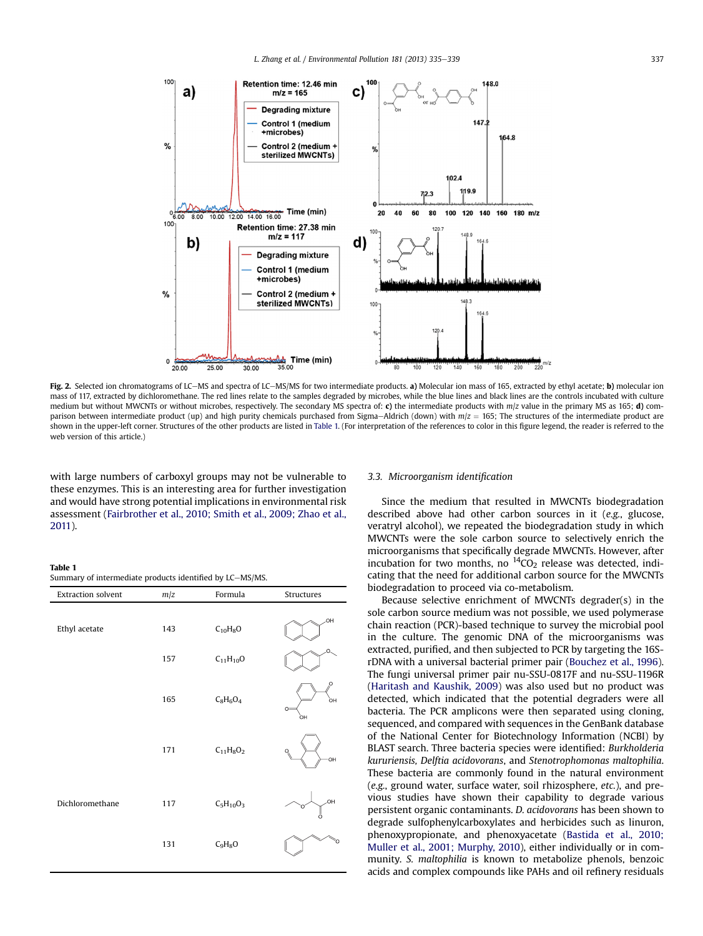<span id="page-2-0"></span>

Fig. 2. Selected ion chromatograms of LC-MS and spectra of LC-MS/MS for two intermediate products. a) Molecular ion mass of 165, extracted by ethyl acetate; b) molecular ion mass of 117, extracted by dichloromethane. The red lines relate to the samples degraded by microbes, while the blue lines and black lines are the controls incubated with culture medium but without MWCNTs or without microbes, respectively. The secondary MS spectra of: c) the intermediate products with  $m/z$  value in the primary MS as 165; d) comparison between intermediate product (up) and high purity chemicals purchased from Sigma-Aldrich (down) with  $m/z = 165$ ; The structures of the intermediate product are shown in the upper-left corner. Structures of the other products are listed in Table 1. (For interpretation of the references to color in this figure legend, the reader is referred to the web version of this article.)

with large numbers of carboxyl groups may not be vulnerable to these enzymes. This is an interesting area for further investigation and would have strong potential implications in environmental risk assessment ([Fairbrother et al., 2010; Smith et al., 2009; Zhao et al.,](#page-3-0) [2011](#page-3-0)).

#### Table 1

| Summary of intermediate products identified by LC-MS/MS. |  |  |  |
|----------------------------------------------------------|--|--|--|
|----------------------------------------------------------|--|--|--|

| Extraction solvent | m/z | Formula         | Structures             |
|--------------------|-----|-----------------|------------------------|
| Ethyl acetate      | 143 | $C_{10}H_8O$    | HO.                    |
|                    | 157 | $C_{11}H_{10}O$ | O.                     |
|                    | 165 | $C_8H_6O_4$     | O<br>òн<br>$O =$<br>òн |
|                    | 171 | $C_{11}H_8O_2$  | O.<br>OH               |
| Dichloromethane    | 117 | $C_5H_{10}O_3$  | OH.                    |
|                    | 131 | $C_9H_8O$       |                        |

#### 3.3. Microorganism identification

Since the medium that resulted in MWCNTs biodegradation described above had other carbon sources in it (e.g., glucose, veratryl alcohol), we repeated the biodegradation study in which MWCNTs were the sole carbon source to selectively enrich the microorganisms that specifically degrade MWCNTs. However, after incubation for two months, no  ${}^{14}CO_2$  release was detected, indicating that the need for additional carbon source for the MWCNTs biodegradation to proceed via co-metabolism.

Because selective enrichment of MWCNTs degrader(s) in the sole carbon source medium was not possible, we used polymerase chain reaction (PCR)-based technique to survey the microbial pool in the culture. The genomic DNA of the microorganisms was extracted, purified, and then subjected to PCR by targeting the 16SrDNA with a universal bacterial primer pair ([Bouchez et al., 1996\)](#page-3-0). The fungi universal primer pair nu-SSU-0817F and nu-SSU-1196R ([Haritash and Kaushik, 2009](#page-3-0)) was also used but no product was detected, which indicated that the potential degraders were all bacteria. The PCR amplicons were then separated using cloning, sequenced, and compared with sequences in the GenBank database of the National Center for Biotechnology Information (NCBI) by BLAST search. Three bacteria species were identified: Burkholderia kururiensis, Delftia acidovorans, and Stenotrophomonas maltophilia. These bacteria are commonly found in the natural environment (e.g., ground water, surface water, soil rhizosphere, etc.), and previous studies have shown their capability to degrade various persistent organic contaminants. D. acidovorans has been shown to degrade sulfophenylcarboxylates and herbicides such as linuron, phenoxypropionate, and phenoxyacetate [\(Bastida et al., 2010;](#page-3-0) [Muller et al., 2001; Murphy, 2010\)](#page-3-0), either individually or in community. S. maltophilia is known to metabolize phenols, benzoic acids and complex compounds like PAHs and oil refinery residuals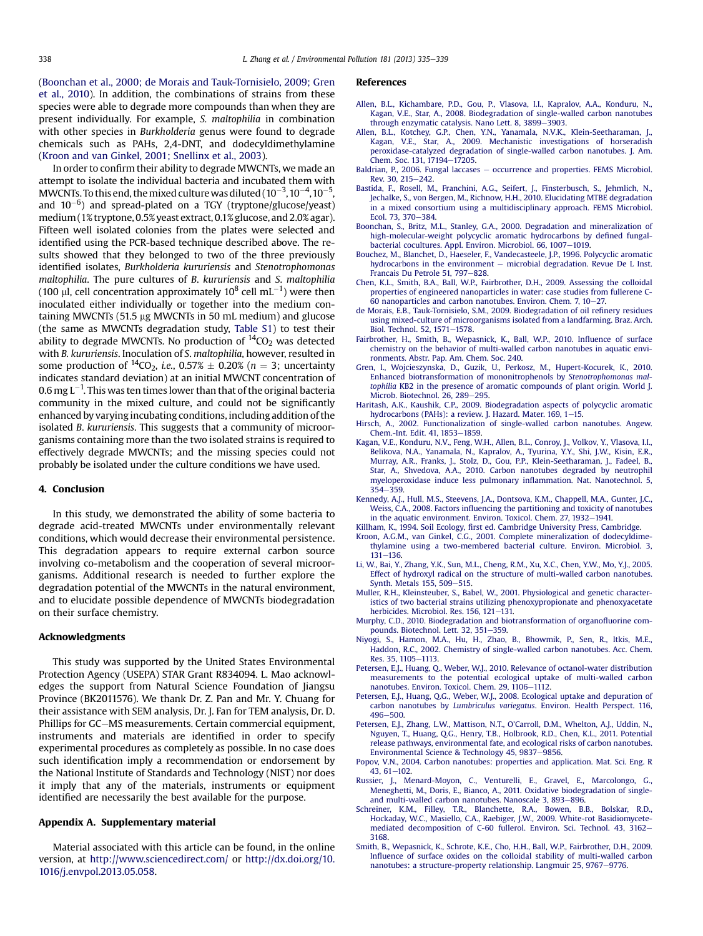<span id="page-3-0"></span>(Boonchan et al., 2000; de Morais and Tauk-Tornisielo, 2009; Gren et al., 2010). In addition, the combinations of strains from these species were able to degrade more compounds than when they are present individually. For example, S. maltophilia in combination with other species in Burkholderia genus were found to degrade chemicals such as PAHs, 2,4-DNT, and dodecyldimethylamine (Kroon and van Ginkel, 2001; Snellinx et al., 2003).

In order to confirm their ability to degrade MWCNTs, we made an attempt to isolate the individual bacteria and incubated them with MWCNTs. To this end, the mixed culture was diluted (  $10^{-3}$  ,  $10^{-4}$  ,  $10^{-5}$  , and  $10^{-6}$ ) and spread-plated on a TGY (tryptone/glucose/yeast) medium (1% tryptone, 0.5% yeast extract, 0.1% glucose, and 2.0% agar). Fifteen well isolated colonies from the plates were selected and identified using the PCR-based technique described above. The results showed that they belonged to two of the three previously identified isolates, Burkholderia kururiensis and Stenotrophomonas maltophilia. The pure cultures of B. kururiensis and S. maltophilia (100  $\mu$ l, cell concentration approximately 10 $^8$  cell mL $^{-1}$ ) were then inoculated either individually or together into the medium containing MWCNTs (51.5  $\mu$ g MWCNTs in 50 mL medium) and glucose (the same as MWCNTs degradation study, Table S1) to test their ability to degrade MWCNTs. No production of  ${}^{14}CO_2$  was detected with B. kururiensis. Inoculation of S. maltophilia, however, resulted in some production of <sup>14</sup>CO<sub>2</sub>, *i.e.*, 0.57%  $\pm$  0.20% (n = 3; uncertainty indicates standard deviation) at an initial MWCNT concentration of 0.6 mg L $^{-1}$ . This was ten times lower than that of the original bacteria community in the mixed culture, and could not be significantly enhanced by varying incubating conditions, including addition of the isolated B. kururiensis. This suggests that a community of microorganisms containing more than the two isolated strains is required to effectively degrade MWCNTs; and the missing species could not probably be isolated under the culture conditions we have used.

#### 4. Conclusion

In this study, we demonstrated the ability of some bacteria to degrade acid-treated MWCNTs under environmentally relevant conditions, which would decrease their environmental persistence. This degradation appears to require external carbon source involving co-metabolism and the cooperation of several microorganisms. Additional research is needed to further explore the degradation potential of the MWCNTs in the natural environment, and to elucidate possible dependence of MWCNTs biodegradation on their surface chemistry.

### Acknowledgments

This study was supported by the United States Environmental Protection Agency (USEPA) STAR Grant R834094. L. Mao acknowledges the support from Natural Science Foundation of Jiangsu Province (BK2011576). We thank Dr. Z. Pan and Mr. Y. Chuang for their assistance with SEM analysis, Dr. J. Fan for TEM analysis, Dr. D. Phillips for GC-MS measurements. Certain commercial equipment, instruments and materials are identified in order to specify experimental procedures as completely as possible. In no case does such identification imply a recommendation or endorsement by the National Institute of Standards and Technology (NIST) nor does it imply that any of the materials, instruments or equipment identified are necessarily the best available for the purpose.

#### Appendix A. Supplementary material

Material associated with this article can be found, in the online version, at <http://www.sciencedirect.com/> or [http://dx.doi.org/10.](http://dx.doi.org/10.1016/j.envpol.2013.05.058) [1016/j.envpol.2013.05.058](http://dx.doi.org/10.1016/j.envpol.2013.05.058).

#### References

- [Allen, B.L., Kichambare, P.D., Gou, P., Vlasova, I.I., Kapralov, A.A., Konduru, N.,](http://refhub.elsevier.com/S0269-7491(13)00318-7/sref1) [Kagan, V.E., Star, A., 2008. Biodegradation of single-walled carbon nanotubes](http://refhub.elsevier.com/S0269-7491(13)00318-7/sref1) through enzymatic catalysis. Nano Lett.  $8.3899 - 3903$  $8.3899 - 3903$ .
- [Allen, B.L., Kotchey, G.P., Chen, Y.N., Yanamala, N.V.K., Klein-Seetharaman, J.,](http://refhub.elsevier.com/S0269-7491(13)00318-7/sref2) [Kagan, V.E., Star, A., 2009. Mechanistic investigations of horseradish](http://refhub.elsevier.com/S0269-7491(13)00318-7/sref2) [peroxidase-catalyzed degradation of single-walled carbon nanotubes. J. Am.](http://refhub.elsevier.com/S0269-7491(13)00318-7/sref2) [Chem. Soc. 131, 17194](http://refhub.elsevier.com/S0269-7491(13)00318-7/sref2)-[17205](http://refhub.elsevier.com/S0269-7491(13)00318-7/sref2).
- [Baldrian, P., 2006. Fungal laccases](http://refhub.elsevier.com/S0269-7491(13)00318-7/sref3)  $-$  [occurrence and properties. FEMS Microbiol.](http://refhub.elsevier.com/S0269-7491(13)00318-7/sref3) [Rev. 30, 215](http://refhub.elsevier.com/S0269-7491(13)00318-7/sref3)-[242](http://refhub.elsevier.com/S0269-7491(13)00318-7/sref3).
- [Bastida, F., Rosell, M., Franchini, A.G., Seifert, J., Finsterbusch, S., Jehmlich, N.,](http://refhub.elsevier.com/S0269-7491(13)00318-7/sref4) [Jechalke, S., von Bergen, M., Richnow, H.H., 2010. Elucidating MTBE degradation](http://refhub.elsevier.com/S0269-7491(13)00318-7/sref4) [in a mixed consortium using a multidisciplinary approach. FEMS Microbiol.](http://refhub.elsevier.com/S0269-7491(13)00318-7/sref4) [Ecol. 73, 370](http://refhub.elsevier.com/S0269-7491(13)00318-7/sref4)-[384.](http://refhub.elsevier.com/S0269-7491(13)00318-7/sref4)
- [Boonchan, S., Britz, M.L., Stanley, G.A., 2000. Degradation and mineralization of](http://refhub.elsevier.com/S0269-7491(13)00318-7/sref5) [high-molecular-weight polycyclic aromatic hydrocarbons by de](http://refhub.elsevier.com/S0269-7491(13)00318-7/sref5)fined fungal[bacterial cocultures. Appl. Environ. Microbiol. 66, 1007](http://refhub.elsevier.com/S0269-7491(13)00318-7/sref5)-[1019](http://refhub.elsevier.com/S0269-7491(13)00318-7/sref5).
- [Bouchez, M., Blanchet, D., Haeseler, F., Vandecasteele, J.P., 1996. Polycyclic aromatic](http://refhub.elsevier.com/S0269-7491(13)00318-7/sref6) [hydrocarbons in the environment](http://refhub.elsevier.com/S0269-7491(13)00318-7/sref6) - [microbial degradation. Revue De L Inst.](http://refhub.elsevier.com/S0269-7491(13)00318-7/sref6) [Francais Du Petrole 51, 797](http://refhub.elsevier.com/S0269-7491(13)00318-7/sref6)-[828.](http://refhub.elsevier.com/S0269-7491(13)00318-7/sref6)
- [Chen, K.L., Smith, B.A., Ball, W.P., Fairbrother, D.H., 2009. Assessing the colloidal](http://refhub.elsevier.com/S0269-7491(13)00318-7/sref7) [properties of engineered nanoparticles in water: case studies from fullerene C-](http://refhub.elsevier.com/S0269-7491(13)00318-7/sref7)60 nanoparticles and carbon nanotubes. Environ. Chem. 7,  $10-27$ .
- [de Morais, E.B., Tauk-Tornisielo, S.M., 2009. Biodegradation of oil re](http://refhub.elsevier.com/S0269-7491(13)00318-7/sref8)finery residues [using mixed-culture of microorganisms isolated from a landfarming. Braz. Arch.](http://refhub.elsevier.com/S0269-7491(13)00318-7/sref8) [Biol. Technol. 52, 1571](http://refhub.elsevier.com/S0269-7491(13)00318-7/sref8)-[1578](http://refhub.elsevier.com/S0269-7491(13)00318-7/sref8).
- [Fairbrother, H., Smith, B., Wepasnick, K., Ball, W.P., 2010. In](http://refhub.elsevier.com/S0269-7491(13)00318-7/sref9)fluence of surface [chemistry on the behavior of multi-walled carbon nanotubes in aquatic envi](http://refhub.elsevier.com/S0269-7491(13)00318-7/sref9)[ronments. Abstr. Pap. Am. Chem. Soc. 240.](http://refhub.elsevier.com/S0269-7491(13)00318-7/sref9)
- [Gren, I., Wojcieszynska, D., Guzik, U., Perkosz, M., Hupert-Kocurek, K., 2010.](http://refhub.elsevier.com/S0269-7491(13)00318-7/sref10) [Enhanced biotransformation of mononitrophenols by](http://refhub.elsevier.com/S0269-7491(13)00318-7/sref10) Stenotrophomonas maltophilia [KB2 in the presence of aromatic compounds of plant origin. World J.](http://refhub.elsevier.com/S0269-7491(13)00318-7/sref10) [Microb. Biotechnol. 26, 289](http://refhub.elsevier.com/S0269-7491(13)00318-7/sref10)-[295.](http://refhub.elsevier.com/S0269-7491(13)00318-7/sref10)
- [Haritash, A.K., Kaushik, C.P., 2009. Biodegradation aspects of polycyclic aromatic](http://refhub.elsevier.com/S0269-7491(13)00318-7/sref11) [hydrocarbons \(PAHs\): a review. J. Hazard. Mater. 169, 1](http://refhub.elsevier.com/S0269-7491(13)00318-7/sref11)-[15](http://refhub.elsevier.com/S0269-7491(13)00318-7/sref11).
- [Hirsch, A., 2002. Functionalization of single-walled carbon nanotubes. Angew.](http://refhub.elsevier.com/S0269-7491(13)00318-7/sref12) [Chem.-Int. Edit. 41, 1853](http://refhub.elsevier.com/S0269-7491(13)00318-7/sref12)-[1859](http://refhub.elsevier.com/S0269-7491(13)00318-7/sref12).
- [Kagan, V.E., Konduru, N.V., Feng, W.H., Allen, B.L., Conroy, J., Volkov, Y., Vlasova, I.I.,](http://refhub.elsevier.com/S0269-7491(13)00318-7/sref13) [Belikova, N.A., Yanamala, N., Kapralov, A., Tyurina, Y.Y., Shi, J.W., Kisin, E.R.,](http://refhub.elsevier.com/S0269-7491(13)00318-7/sref13) [Murray, A.R., Franks, J., Stolz, D., Gou, P.P., Klein-Seetharaman, J., Fadeel, B.,](http://refhub.elsevier.com/S0269-7491(13)00318-7/sref13) [Star, A., Shvedova, A.A., 2010. Carbon nanotubes degraded by neutrophil](http://refhub.elsevier.com/S0269-7491(13)00318-7/sref13) [myeloperoxidase induce less pulmonary in](http://refhub.elsevier.com/S0269-7491(13)00318-7/sref13)flammation. Nat. Nanotechnol. 5,  $354 - 359$  $354 - 359$  $354 - 359$
- [Kennedy, A.J., Hull, M.S., Steevens, J.A., Dontsova, K.M., Chappell, M.A., Gunter, J.C.,](http://refhub.elsevier.com/S0269-7491(13)00318-7/sref14) Weiss, C.A., 2008. Factors infl[uencing the partitioning and toxicity of nanotubes](http://refhub.elsevier.com/S0269-7491(13)00318-7/sref14) [in the aquatic environment. Environ. Toxicol. Chem. 27, 1932](http://refhub.elsevier.com/S0269-7491(13)00318-7/sref14)-[1941.](http://refhub.elsevier.com/S0269-7491(13)00318-7/sref14)
- Killham, K., 1994. Soil Ecology, fi[rst ed. Cambridge University Press, Cambridge](http://refhub.elsevier.com/S0269-7491(13)00318-7/sref15).
- [Kroon, A.G.M., van Ginkel, C.G., 2001. Complete mineralization of dodecyldime](http://refhub.elsevier.com/S0269-7491(13)00318-7/sref16)[thylamine using a two-membered bacterial culture. Environ. Microbiol. 3,](http://refhub.elsevier.com/S0269-7491(13)00318-7/sref16)  $131 - 136$  $131 - 136$
- [Li, W., Bai, Y., Zhang, Y.K., Sun, M.L., Cheng, R.M., Xu, X.C., Chen, Y.W., Mo, Y.J., 2005.](http://refhub.elsevier.com/S0269-7491(13)00318-7/sref17) [Effect of hydroxyl radical on the structure of multi-walled carbon nanotubes.](http://refhub.elsevier.com/S0269-7491(13)00318-7/sref17) Synth. Metals  $155, 509 - 515$  $155, 509 - 515$ .
- [Muller, R.H., Kleinsteuber, S., Babel, W., 2001. Physiological and genetic character](http://refhub.elsevier.com/S0269-7491(13)00318-7/sref18)[istics of two bacterial strains utilizing phenoxypropionate and phenoxyacetate](http://refhub.elsevier.com/S0269-7491(13)00318-7/sref18) [herbicides. Microbiol. Res. 156, 121](http://refhub.elsevier.com/S0269-7491(13)00318-7/sref18)-[131.](http://refhub.elsevier.com/S0269-7491(13)00318-7/sref18)
- [Murphy, C.D., 2010. Biodegradation and biotransformation of organo](http://refhub.elsevier.com/S0269-7491(13)00318-7/sref19)fluorine com[pounds. Biotechnol. Lett. 32, 351](http://refhub.elsevier.com/S0269-7491(13)00318-7/sref19)-[359](http://refhub.elsevier.com/S0269-7491(13)00318-7/sref19).
- [Niyogi, S., Hamon, M.A., Hu, H., Zhao, B., Bhowmik, P., Sen, R., Itkis, M.E.,](http://refhub.elsevier.com/S0269-7491(13)00318-7/sref20) [Haddon, R.C., 2002. Chemistry of single-walled carbon nanotubes. Acc. Chem.](http://refhub.elsevier.com/S0269-7491(13)00318-7/sref20) [Res. 35, 1105](http://refhub.elsevier.com/S0269-7491(13)00318-7/sref20)-[1113.](http://refhub.elsevier.com/S0269-7491(13)00318-7/sref20)
- [Petersen, E.J., Huang, Q., Weber, W.J., 2010. Relevance of octanol-water distribution](http://refhub.elsevier.com/S0269-7491(13)00318-7/sref21) [measurements to the potential ecological uptake of multi-walled carbon](http://refhub.elsevier.com/S0269-7491(13)00318-7/sref21) nanotubes. Environ. Toxicol. Chem. 29,  $1106-1112$ .
- [Petersen, E.J., Huang, Q.G., Weber, W.J., 2008. Ecological uptake and depuration of](http://refhub.elsevier.com/S0269-7491(13)00318-7/sref22) carbon nanotubes by Lumbriculus variegatus[. Environ. Health Perspect. 116,](http://refhub.elsevier.com/S0269-7491(13)00318-7/sref22) [496](http://refhub.elsevier.com/S0269-7491(13)00318-7/sref22)-500
- [Petersen, E.J., Zhang, L.W., Mattison, N.T., O](http://refhub.elsevier.com/S0269-7491(13)00318-7/sref23)'Carroll, D.M., Whelton, A.J., Uddin, N., [Nguyen, T., Huang, Q.G., Henry, T.B., Holbrook, R.D., Chen, K.L., 2011. Potential](http://refhub.elsevier.com/S0269-7491(13)00318-7/sref23) [release pathways, environmental fate, and ecological risks of carbon nanotubes.](http://refhub.elsevier.com/S0269-7491(13)00318-7/sref23) [Environmental Science & Technology 45, 9837](http://refhub.elsevier.com/S0269-7491(13)00318-7/sref23)-[9856](http://refhub.elsevier.com/S0269-7491(13)00318-7/sref23).
- [Popov, V.N., 2004. Carbon nanotubes: properties and application. Mat. Sci. Eng. R](http://refhub.elsevier.com/S0269-7491(13)00318-7/sref24) 43,  $61-102$ .
- [Russier, J., Menard-Moyon, C., Venturelli, E., Gravel, E., Marcolongo, G.,](http://refhub.elsevier.com/S0269-7491(13)00318-7/sref25) [Meneghetti, M., Doris, E., Bianco, A., 2011. Oxidative biodegradation of single](http://refhub.elsevier.com/S0269-7491(13)00318-7/sref25)[and multi-walled carbon nanotubes. Nanoscale 3, 893](http://refhub.elsevier.com/S0269-7491(13)00318-7/sref25)–[896](http://refhub.elsevier.com/S0269-7491(13)00318-7/sref25).
- [Schreiner, K.M., Filley, T.R., Blanchette, R.A., Bowen, B.B., Bolskar, R.D.,](http://refhub.elsevier.com/S0269-7491(13)00318-7/sref26) [Hockaday, W.C., Masiello, C.A., Raebiger, J.W., 2009. White-rot Basidiomycete](http://refhub.elsevier.com/S0269-7491(13)00318-7/sref26)[mediated decomposition of C-60 fullerol. Environ. Sci. Technol. 43, 3162](http://refhub.elsevier.com/S0269-7491(13)00318-7/sref26)-[3168](http://refhub.elsevier.com/S0269-7491(13)00318-7/sref26).
- [Smith, B., Wepasnick, K., Schrote, K.E., Cho, H.H., Ball, W.P., Fairbrother, D.H., 2009.](http://refhub.elsevier.com/S0269-7491(13)00318-7/sref27) Infl[uence of surface oxides on the colloidal stability of multi-walled carbon](http://refhub.elsevier.com/S0269-7491(13)00318-7/sref27) [nanotubes: a structure-property relationship. Langmuir 25, 9767](http://refhub.elsevier.com/S0269-7491(13)00318-7/sref27)–[9776.](http://refhub.elsevier.com/S0269-7491(13)00318-7/sref27)